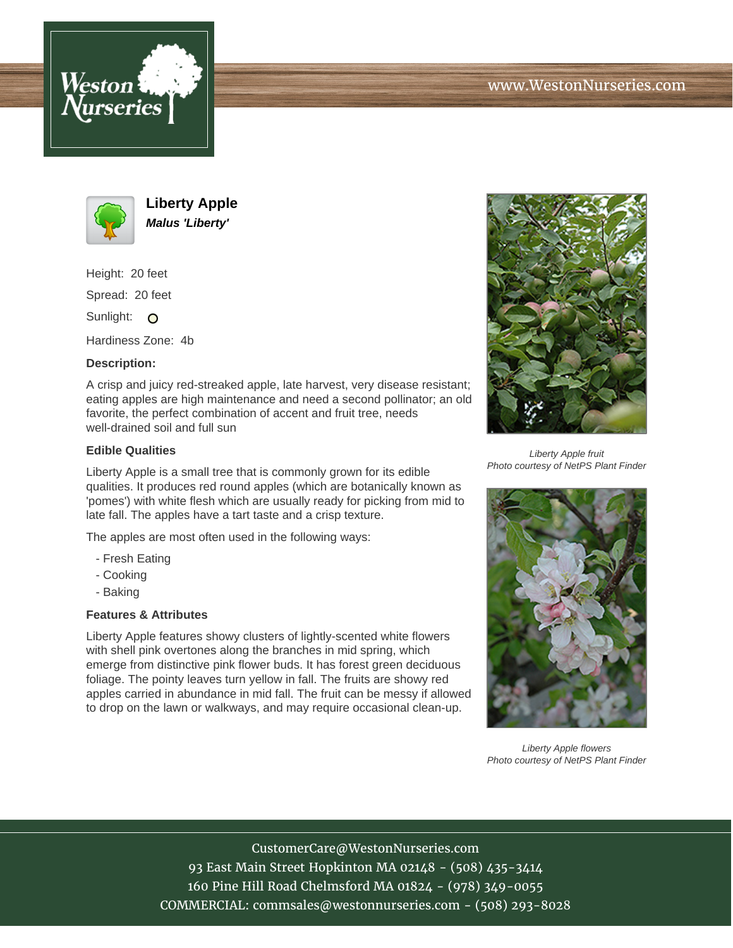





**Liberty Apple Malus 'Liberty'**

Height: 20 feet Spread: 20 feet

Sunlight: O

Hardiness Zone: 4b

## **Description:**

A crisp and juicy red-streaked apple, late harvest, very disease resistant; eating apples are high maintenance and need a second pollinator; an old favorite, the perfect combination of accent and fruit tree, needs well-drained soil and full sun

## **Edible Qualities**

Liberty Apple is a small tree that is commonly grown for its edible qualities. It produces red round apples (which are botanically known as 'pomes') with white flesh which are usually ready for picking from mid to late fall. The apples have a tart taste and a crisp texture.

The apples are most often used in the following ways:

- Fresh Eating
- Cooking
- Baking

## **Features & Attributes**

Liberty Apple features showy clusters of lightly-scented white flowers with shell pink overtones along the branches in mid spring, which emerge from distinctive pink flower buds. It has forest green deciduous foliage. The pointy leaves turn yellow in fall. The fruits are showy red apples carried in abundance in mid fall. The fruit can be messy if allowed to drop on the lawn or walkways, and may require occasional clean-up.



Liberty Apple fruit Photo courtesy of NetPS Plant Finder



Liberty Apple flowers Photo courtesy of NetPS Plant Finder

CustomerCare@WestonNurseries.com 93 East Main Street Hopkinton MA 02148 - (508) 435-3414 160 Pine Hill Road Chelmsford MA 01824 - (978) 349-0055 COMMERCIAL: commsales@westonnurseries.com - (508) 293-8028